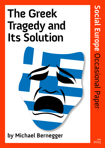# **The Greek Tragedy and Its Solution**



**by Michael Bernegger**

**June** 2015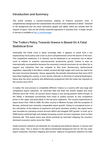### **Introduction and Summary**

*This article contains a counter-consensus analysis of Greece's economic crisis. A complementary background text substantiates the article's main statements in detail. 1 Attached to the background text are many informative graphs and tables, which are omitted here for reasons of space. Here are the article's essential arguments in summary form. A longer version in German is available at http://j.mp/Bernegger.*

## **The Troika's Policy Towards Greece Is Based On A Fatal Statistical Error**

Ostensibly, the Greek crisis is about sovereign debt. It appears to result from a too expansionary fiscal policy and a loss in price competitiveness since the launch of the euro. This competitive weakness, it is claimed, can be attributed to an excessive rise in labour costs in relation to anaemic macroeconomic productivity growth. Greece is seen as internationally uncompetitive because the economy's internal structures do not allow for or support any industries that can compete at that level. Bureaucracy, dysfunctional regulation, especially in the labour market, excessively high wages and costs are said to be the main structural obstacles. Hence, apparently, the periodic disturbances that since 2010 have been leading the country, in ever shorter intervals, to the brink of national bankruptcy. Hence also the strict austerity and deflationary programme that the troika has imposed on the country since 2010.

In reality, the core process is completely different: Greece is a country with very large and competitive export industries. Its merchant fleet has been the world's largest and most efficient since the 1970s. Its tourism sector enjoys a very strong position within Europe. In the 2000s, it developed successfully from mass to quality tourism, at very competitive prices in the upper and particularly in the top price segments. The country experienced an export boom from 1999 to 2008. No other country in Western Europe, with the exception of Norway, achieved even remotely comparable export growth. Owing to conceptual errors in the calculation of the balance of payments and gross domestic product, the export boom was recorded as a growing current account deficit and sluggish GDP growth. In truth, up to 2008 Greece achieved high and steeply increasing current account surpluses, more so than Germany did. That export boom was driven primarily by merchant shipping, the country's dominant economic sector since the 1960s.

Greek economic statistics are distorted, for conceptual and political reasons, in serious and obvious ways. This is shown in the (above-mentioned) background text for the two main export industries, merchant shipping and tourism. Balance of payments statistics for both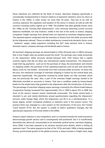those industries are collected by the Bank of Greece. Merchant shipping specifically is conceptually misrepresented in Greece's balance of payments statistics since its return to Greece in the 1960s; in other words, for more than 50 years. That has to do with its currency exposure, the regulation and taxation of the sector in Greece, as well as with the country's monetary policy regime up to 1998. The problem has been globally known since the 1980s as the "missing fleet phenomenon", even seriously distorting current account balances worldwide, not only Greece's. Unlike in the rest of the world, in Greece, shipping companies' freight earnings from abroad were not reported as merchant shipping exports. The reported exports comprised only the transfers to Greece from the dollar accounts held by the shipowners abroad. These so-called remittances covered only domestic factor costs - seafarers' wages, salary payments including the NAT state pension fund in Greece, domestic inputs, company earnings and dividends paid in Greece.

All merchant shipping earnings are denominated in USDs (formerly also in GBPs), because that is how freight rates are posted around the world. The earnings were made exclusively to the shipowners' dollar accounts abroad because from 1932 Greece had a capital controls regime that did not allow any international capital transactions. The shipowners made their big payments - such as for the purchase of ships, the amortisation and interest on shipping credits, the purchase of fuel, operating expenses such as port and canal fees, labour costs for non-Greeks - exclusively from their overseas dollar accounts. On entry into the euro, the statistical coverage of merchant shipping in Greece by the central bank was improved superficially. The payments received by Greek banks are fully recorded, which was not previously the case. Also, a part of the overseas freight earnings started to be effectively recorded on accounts in Greece. That was a condition made by Greece-based banks for the ample loans they granted to the shipowners after the introduction of the euro. The percentage of merchant shipping export earnings covered by the official Greek balance of payments thereby increased from approximately 10% in 1999 to about 25% in 2008. But most of the sector's exports remain statistically unrecorded. The Greek central bank is reluctant to act, and merely distributes annual questionnaires regarding the shipowners' turnover under foreign flags, which the shipowners can fill in as a self-declaration. To a lesser degree, similar conceptual problems in statistics exist in the tourism sector. The practice there was changed to a new system on the introduction of the euro, the Frontier Travel System (FTS). But the system is unable to detect qualitative changes, like the spectacular expansion of five-star hotels in the 2000s.

Greece's export industry is very competitive, and it is oriented towards the world economy's above-average growth sectors and is consequently well positioned. But it is insufficiently diversified and, above all, concentrated on an extremely cyclical sector, merchant shipping. Since 2008, it has been exposed to an extreme sectoral price decline, which is hitting all operators hard. The same sequence as that of the 1970s and early 1980s is being repeated: Strong, synchronised growth of the global economy, a sharp increase in freight rates, large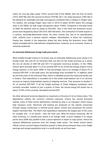orders for very big ships (early 1970s; second half of the 2000s), then the first oil shock (1973; 2007-08), then the second oil shock (1979-80; 2011-14), sharp downturn (1981-85) in the demand for seafreight and high overcapacity combined with a collapse in freight rates. For tankers, the average freight rates were in 2014/15 about 30-40% below the average rates in the 2000s, for bulk cargo transporters about 70-80%. Compared to the peak levels of 2008, the declines were as steep as 50%/95%. Also in the hotel and restaurant sector, prices have dropped by about 20% from 2007/08 levels. The contraction of Greek exports is a cyclical, sectorally-determined slump. No other country has, due to its specialisation risks, suffered such a serious exports collapse. Nevertheless, in those two industries, Greece has, already in the expansion phase but also during the downturn since 2008, clearly strengthened its international competitiveness. However, as an economy, Greece is seriously weakened.

#### **An extremely deflationary foreign trade price shock ...**

What initially brought Greece to its knees was an extremely deflationary price slump in its foreign trade. Not only for its merchant fleet, but also for the Greek economy as a whole, the two oil shocks of 2007/08 and 2011-14 represent enormous burdens. In the 1990s, Greece spent annually about 1% of its nominal GDP on its oil bill (net energy imports minus energy exports). In the years 2006-14, that percentage rose to an average of about 4% of nominal EDP-GDP. In the peak years, the percentage even exceeded 5%. In addition, there are the fuel costs of the merchant fleet, which is refuelled around the world and hardly ever in Greece. That expenditure is recorded not in the Greek trade balance, but in its services account as imports (intermediate inputs) of shipping services. That amounts to another 2- 3% of nominal EDP-GDP. If all the freight earnings of Greek shipping companies were correctly recorded, instead of just a quarter of them, the actual energy bill would rise to about 15-20% of the correctly calculated nominal GDP.

No other advanced economy depends as massively on the price of oil as Greece does. This dependence reflects the country's maritime exposure. Greece has several thousand islands, many of them tourist destinations reached by ship or air transport, which means high transport costs. Electricity and heating are produced on the islands exclusively through oil/gas combustion in thermal power plants. Greece also possesses the world's largest merchant fleet. The fleet's fuel expenditure represents the largest part of the costs for voyages and - in oil shocks - even the total cost. What hit Greece massively, like no other economy, is a double price shock in its foreign trade. A price collapse in its export prices since 2008 and, parallel to that, a price explosion in import or input prices. Hence the extreme deflationary pressure from the foreign trade sector. The Greek central bank's official current account figures therefore present a false picture because they cover freight earnings and energy expenditure only to a small extent, as we have seen.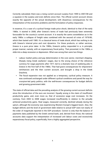Correctly calculated, there was a rising current account surplus from 1999 to 2007/08 and a squeeze in the surplus and even deficits since then. The official current account shows exactly the opposite of the actual development, with disastrous consequences for the interpretation of the economic problems and the formulation of policy responses.

In essence, it's a case of a cyclical foreign trade price shock, identical to that of the early 1980s. It started in 2008, after Greece's terms of trade had previously been extremely favourable for the country's current account. It is exactly the same constellation as in the early 1980s: a collapse of freight rates combined with the second oil crisis of 1979/80, which then lasted until 1985. It's a classical terms of trade shock, which has nothing to do with Greece's internal price and cost dynamics. For these products, or rather services, Greece is a pure price taker. In the 1980s, Greece's policy responded in a, in principle, proper manner; namely, with an expansionary fiscal policy. That prevented, in the 1980s, a slide into a deep recession or depression. What was wrong then were two things:

- Labour market policy and pay determination in the core sector, merchant shipping. Sharply rising Greek seafarers' wages, due to the wrong choice of the reference currency for wage payments after 1977, led to a dramatic loss of seafaring jobs in Greece in the first half of the 1980s. That had grave consequences for shipowners' remittances and the then current account, and brought a drop in the Greek Drachma.
- The fiscal expansion was not applied as a temporary, cyclical policy measure. It was continued unchanged under different cyclical conditions and paved the way for cronyism-led party politics, with the well-known consequences for budget deficits and growing government debt.

The state of official data and the prevailing analysis of the growing current account deficits since the introduction of the euro are incorrect. Equally wrong is the claim of insufficient productivity gains, and, even more so, that of excessive wage cost increases. On the contrary, from 2003 to 2008 wages increased insufficiently in relation to the actually achieved productivity gains. Real wages, measured correctly, declined already during the upturn, although the economy was experiencing Western Europe's biggest boom. Also, the budget deficits and the level of government debt relative to actual GDP were not nearly of the order of magnitude reported in the EDP procedure. Correct is only that the balance of payments data published by the Greek central bank, and, derived from those, the national accounts data support the interpretation of increased unit labour costs and excessively expansionary fiscal policy, superficially, from a highly aggregated perspective.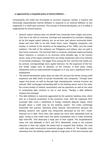#### **... is aggravated by a misguided policy of internal deflation ...**

Consequently, the troika has formulated an incorrect response: namely, a massive and historically unprecedented internal deflation in response to an external deflation of rare magnitude, in a small open economy. The concept of internal devaluation, as it is called, is inappropriate for several reasons:

- Greece's export industry does not benefit from massively lower wages and prices. That has to do with its structure. Earnings and expenditure by merchant shipping, by far the largest export industry, are, as we have said, almost exclusively dollarbased and have little to do with Greek factor costs. Shipping companies now employ, in contrast to the situation at the beginning of the 1980s, very few Greek seafarers. The bulk of the seafarers are Philippinos and Indians, who are paid in their home currencies. The merchant fleet is, moreover, extremely capital and barely labour intensive, in contrast to its structure some decades ago. In the tourism sector, many of the export-oriented firms are family enterprises with a low intensity of non-family employees. The bigger firms among the five- and four-star hotels are, by contrast, correspondingly more capital intensive. For the expansion of the fivestar hotels, wages were no obstacle, on the contrary. In both areas, cheap, clandestine work by undocumented immigrants is in any case a significant form of employment.
- The internal devaluation policy does not take into account the former strong credit expansion and debt levels of private households and companies. Through lower wages and prices, as well as through high unemployment, nominal incomes are reduced. With unchanged outstanding debt to the banking sector and to the state, the current burden of interest, amortisation and tax payments as well as the value of outstanding debt continue to rise in real terms. Thereby, a debt deflation situation has emerged.
- This debt deflation is massively aggravated by the systemic banking crisis, which acts as a financial accelerator of the economic crisis. With the supposed 2010 sovereign debt crisis a withdrawal of foreign interbank deposits began, which brought about a credit stop by the banking system. The troika unwittingly intensified that process. Monetary policy became ultra-restrictive because the banking system's own capital was temporarily destroyed by the 2011 troikaimposed cut in debt. Since then, that capital has never been adequately built up again. Owing to that credit event, the banks immediately had to make extremely high write-offs. That destroyed a large part of their capital. The recapitalisation came, but only belatedly in 2012 and 2013. Meanwhile, owing to the massive reduction in their risk capital, the banks had to suspend their lending. The total credit stop made construction investment plunge to almost nil. The liquidity crisis stemming from the banking system spread to large parts of the real economy and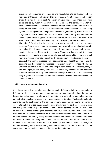drove tens of thousands of companies and households into bankruptcy and cost hundreds of thousands of workers their income. As a result of the general liquidity crisis, there was a surge in banks' non-performing and bad loans. Those loans need to be backed by much higher own resources, so that the banks, even after the belated recapitalisation, have been unable to emerge from a situation of insufficient equity or risk capital. The massively deflationary policy exercised via the banking system lies, along with the foreign trade price shock (plummeting export prices with surging oil prices), at the heart of the Greek crisis. The temporary destruction of the banks' equity capital triggered a systemic banking crisis, which is reflected in an almost total credit crunch and a liquidity crisis paralysing the whole economy.

The role of fiscal policy in the crisis is overemphasised or not appropriately assessed. True, a consolidation was needed. But the priorities were badly chosen by the troika. Fiscal consolidation was not only too abrupt, it also had extremely negative, distorting effects on the economy. Those who had up until then been paying taxes – regularly employed employees and households – now pay much more and receive fewer state benefits. The combination of the taxation measures – especially the sharply increased value-added, income and profit tax rates  $-$  and the spending cuts has massively increased tax evasion incentives. Those who had up until then paid little or no tax therefore still pay none or too little. Certainly, many of the self-employed and many firms can no longer pay because of the economic situation. Without causing such economic damage, it would have been relatively easy to get hold of considerable amounts of evaded taxes on the offshore accounts parked overseas.

#### **... which leads to a debt-deflation spiral**

Accordingly, this article describes the crisis as a debt-deflation spiral: to the external debt deflation in the economy's most important sector, merchant shipping, the internal devaluation policy adds an internal debt deflation and sets off a comprehensive and cumulatively intensifying process of macroeconomic debt deflation. The four characteristic elements are: the destruction of the banking system's equity or risk capital; plummeting real estate and ship prices, the principal sources of collateral for bank loans; steeply rising bad loans; and periodic deposit withdrawal panics in the banking system. The banks can no longer make loans, plunging the economy into a full-scale liquidity crisis. The banking crisis acts as a financial accelerator of a cumulatively worsening economic slump. Debt deflation consists of sharply falling nominal incomes and prices with unchanged nominal debt owed to banks and rising nominal debt towards the state. Interest rates and the tax burden rise dramatically in real terms due to the collapse of nominal incomes, making debt and debt servicing unsustainable. The government's manifest debt crisis reflects only one element of a much more basic process of full-scale debt deflation.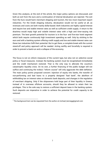Given this analysis, at the end of the article, the major policy options are discussed, and both an exit from the euro and a continuation of internal devaluation are rejected. The exit from the Euro would harm merchant shipping and tourism, the two most important export industries. For the Greek shipping industry, devaluation would not be useful at all, as revenues and costs are both mainly dollar-based. Both industries are highly capital-intense and require low and stable interest rates as well as sufficient credit supply. A return to the drachma would imply high and volatile interest rates with a high and time-varying risk premium. The best growth potential for tourism is in the four- and five-star hotel segment which both require continously high investment spending as well. Only by sticking to the euro and with a banking system offering credit supply and low and stable interest rates can these two industries fulfil their potential. But to get there, a complete break with the current stand-off and policy approach will be needed. Acting swiftly and forcefully is required in order to prevent a bank-run and a collapse of the economy.

The focus is not on reform measures of the current type, but also not on selective social policy or fiscal measures. Instead, the banking system must be recapitalised immediately and the credit mechanism restored. That is the only way to alleviate the country's catastrophic liquidity crisis. On its own, a further financing of the public budget will not suffice and continuing the troika's "reform course" will only aggravate the debt deflation. The main policy points proposed concern: injection of equity into banks, the transfer of non-performing and bad loans to a properly designed "bad bank", the abolition of withholding tax on interest rates on domestic bank deposits, and changes in the regulation of merchant shipping. Only if the shipowners hold large part of their liquidity in Greece, instead of in overseas offshore accounts, should they be allowed to retain their tax privileges. This is the sole way to restore a sufficient deposit base in the banking system. Such deposits are imperative in order to achieve the potential for credit capacity to be restored.

 $\overline{a}$ 

 $^{\rm 1}$  The background text can be requested from the author at michael\_bernegg@gmail.com